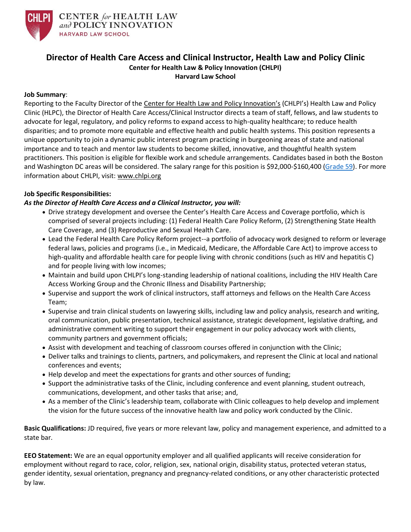

## **Director of Health Care Access and Clinical Instructor, Health Law and Policy Clinic Center for Health Law & Policy Innovation (CHLPI) Harvard Law School**

## **Job Summary**:

Reporting to the Faculty Director of the Center for Health [Law and Policy Innovation's](http://www.chlpi.org/) (CHLPI's) Health Law and Policy Clinic (HLPC), the Director of Health Care Access/Clinical Instructor directs a team of staff, fellows, and law students to advocate for legal, regulatory, and policy reforms to expand access to high-quality healthcare; to reduce health disparities; and to promote more equitable and effective health and public health systems. This position represents a unique opportunity to join a dynamic public interest program practicing in burgeoning areas of state and national importance and to teach and mentor law students to become skilled, innovative, and thoughtful health system practitioners. This position is eligible for flexible work and schedule arrangements. Candidates based in both the Boston and Washington DC areas will be considered. The salary range for this position is \$92,000-\$160,400 [\(Grade 59\)](https://hr.harvard.edu/salary-ranges). For more information about CHLPI, visit: [www.chlpi.org](http://www.chlpi.org/)

## **Job Specific Responsibilities:**

## *As the Director of Health Care Access and a Clinical Instructor, you will:*

- Drive strategy development and oversee the Center's Health Care Access and Coverage portfolio, which is comprised of several projects including: (1) Federal Health Care Policy Reform, (2) Strengthening State Health Care Coverage, and (3) Reproductive and Sexual Health Care.
- Lead the Federal Health Care Policy Reform project--a portfolio of advocacy work designed to reform or leverage federal laws, policies and programs (i.e., in Medicaid, Medicare, the Affordable Care Act) to improve access to high-quality and affordable health care for people living with chronic conditions (such as HIV and hepatitis C) and for people living with low incomes;
- Maintain and build upon CHLPI's long-standing leadership of national coalitions, including the HIV Health Care Access Working Group and the Chronic Illness and Disability Partnership;
- Supervise and support the work of clinical instructors, staff attorneys and fellows on the Health Care Access Team;
- Supervise and train clinical students on lawyering skills, including law and policy analysis, research and writing, oral communication, public presentation, technical assistance, strategic development, legislative drafting, and administrative comment writing to support their engagement in our policy advocacy work with clients, community partners and government officials;
- Assist with development and teaching of classroom courses offered in conjunction with the Clinic;
- Deliver talks and trainings to clients, partners, and policymakers, and represent the Clinic at local and national conferences and events;
- Help develop and meet the expectations for grants and other sources of funding;
- Support the administrative tasks of the Clinic, including conference and event planning, student outreach, communications, development, and other tasks that arise; and,
- As a member of the Clinic's leadership team, collaborate with Clinic colleagues to help develop and implement the vision for the future success of the innovative health law and policy work conducted by the Clinic.

**Basic Qualifications:** JD required, five years or more relevant law, policy and management experience, and admitted to a state bar.

**EEO Statement:** We are an equal opportunity employer and all qualified applicants will receive consideration for employment without regard to race, color, religion, sex, national origin, disability status, protected veteran status, gender identity, sexual orientation, pregnancy and pregnancy-related conditions, or any other characteristic protected by law.